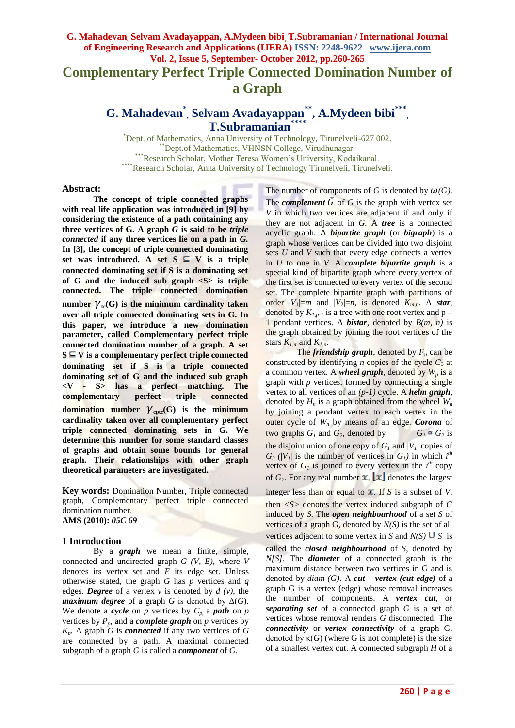**Complementary Perfect Triple Connected Domination Number of a Graph**

# **G. Mahadevan\* , Selvam Avadayappan\*\* , A.Mydeen bibi\*\*\* , T.Subramanian\*\*\*\***

\*Dept. of Mathematics, Anna University of Technology, Tirunelveli-627 002. \*Dept.of Mathematics, VHNSN College, Virudhunagar. \*\*\*Research Scholar, Mother Teresa Women's University, Kodaikanal. \*Research Scholar, Anna University of Technology Tirunelveli, Tirunelveli.

### **Abstract:**

**The concept of triple connected graphs with real life application was introduced in [9] by considering the existence of a path containing any three vertices of G. A graph** *G* **is said to be** *triple connected* **if any three vertices lie on a path in** *G.* **In [3], the concept of triple connected dominating**  set was introduced. A set  $S \subseteq V$  is a triple **connected dominating set if S is a dominating set**  of G and the induced sub graph  $\langle S \rangle$  is triple **connected. The triple connected domination**  number  $\gamma_{tc}(G)$  is the minimum cardinality taken **over all triple connected dominating sets in G. In this paper, we introduce a new domination parameter, called Complementary perfect triple connected domination number of a graph. A set**   $S \subseteq V$  is a complementary perfect triple connected **dominating set if S is a triple connected dominating set of G and the induced sub graph <V - S> has a perfect matching. The complementary perfect triple connected domination number**  $\gamma_{\text{cptc}}(G)$  **is the minimum cardinality taken over all complementary perfect triple connected dominating sets in G. We determine this number for some standard classes of graphs and obtain some bounds for general graph. Their relationships with other graph theoretical parameters are investigated.**

**Key words:** Domination Number, Triple connected graph, Complementary perfect triple connected domination number. **AMS (2010):** *05C 69*

## **1 Introduction**

By a *graph* we mean a finite, simple, connected and undirected graph *G (V, E),* where *V*  denotes its vertex set and *E* its edge set*.* Unless otherwise stated, the graph *G* has *p* vertices and *q* edges. *Degree* of a vertex *v* is denoted by *d (v)*, the *maximum degree* of a graph *G* is denoted by  $\Delta(G)$ *.* We denote a *cycle* on *p* vertices by  $C_p$ , a *path* on *p* vertices by  $P_p$ , and a *complete graph* on  $p$  vertices by  $K_p$ . A graph *G* is *connected* if any two vertices of *G* are connected by a path. A maximal connected subgraph of a graph *G* is called a *component* of *G*.

The number of components of *G* is denoted by  $\omega(G)$ .

The *complement*  $\overline{G}$  of  $G$  is the graph with vertex set *V* in which two vertices are adjacent if and only if they are not adjacent in *G.* A *tree* is a connected acyclic graph. A *bipartite graph* (or *bigraph*) is a graph whose vertices can be divided into two disjoint sets *U* and *V* such that every edge connects a vertex in *U* to one in *V*. A *complete bipartite graph* is a special kind of bipartite graph where every vertex of the first set is connected to every vertex of the second set. The complete bipartite graph with partitions of order  $|V_1|=m$  and  $|V_2|=n$ , is denoted  $K_{mn}$ . A *star*, denoted by  $K_{1,p-1}$  is a tree with one root vertex and  $p -$ 1 pendant vertices. A *bistar*, denoted by *B(m, n)* is the graph obtained by joining the root vertices of the stars  $K_{l,m}$  and  $K_{l,n}$ .

The *friendship graph*, denoted by  $F_n$  can be constructed by identifying *n* copies of the cycle  $C_3$  at a common vertex. A *wheel graph*, denoted by  $W_p$  is a graph with *p* vertices, formed by connecting a single vertex to all vertices of an *(p-1)* cycle. A *helm graph*, denoted by  $H_n$  is a graph obtained from the wheel  $W_n$ by joining a pendant vertex to each vertex in the outer cycle of *W<sup>n</sup>* by means of an edge. *Corona* of two graphs  $G_1$  and  $G_2$ , denoted by  $G_1 \circ G_2$  is the disjoint union of one copy of  $G_I$  and  $|V_I|$  copies of  $G_2$  ( $|V_1|$ ) is the number of vertices in  $G_1$ ) in which  $i^{th}$ vertex of  $G_I$  is joined to every vertex in the  $i^{th}$  copy of  $G_2$ . For any real number  $\mathbf{x}$ ,  $\mathbf{x}$  denotes the largest

integer less than or equal to  $\bar{x}$ . If *S* is a subset of *V*, then  $\langle S \rangle$  denotes the vertex induced subgraph of G induced by *S.* The *open neighbourhood* of a set *S* of vertices of a graph G, denoted by *N(S)* is the set of all vertices adjacent to some vertex in *S* and  $N(S) \cup S$  is

called the *closed neighbourhood* of *S*, denoted by *N[S]*. The *diameter* of a connected graph is the maximum distance between two vertices in G and is denoted by *diam (G).* A *cut – vertex (cut edge)* of a graph G is a vertex (edge) whose removal increases the number of components. A *vertex cut*, or *separating set* of a connected graph *G* is a set of vertices whose removal renders *G* disconnected. The *connectivity* or *vertex connectivity* of a graph G, denoted by  $\kappa(G)$  (where G is not complete) is the size of a smallest vertex cut. A connected subgraph *H* of a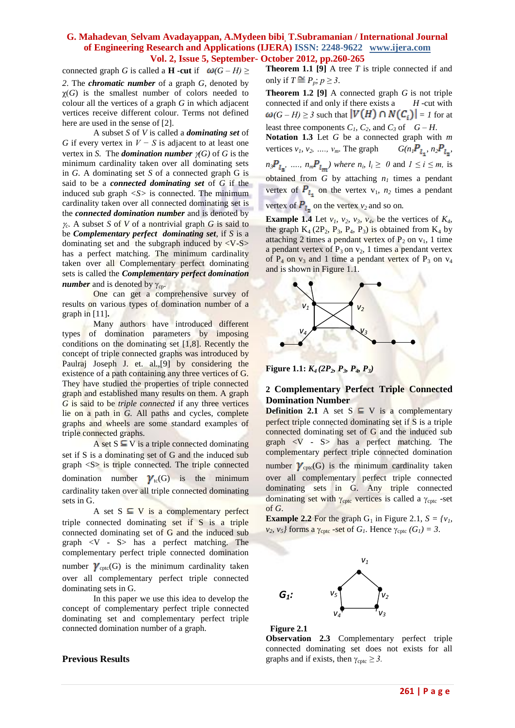connected graph *G* is called a **H** -cut if  $\omega(G - H)$  >

*2*. The *chromatic number* of a graph *G*, denoted by  $\chi(G)$  is the smallest number of colors needed to colour all the vertices of a graph *G* in which adjacent vertices receive different colour. Terms not defined here are used in the sense of [2].

A subset *S* of *V* is called a *dominating set* of *G* if every vertex in *V* − *S* is adjacent to at least one vertex in *S*. The *domination number*  $\gamma(G)$  of *G* is the minimum cardinality taken over all dominating sets in *G.* A dominating set *S* of a connected graph G is said to be a *connected dominating set* of *G* if the induced sub graph *<S>* is connected. The minimum cardinality taken over all connected dominating set is the *connected domination number* and is denoted by  $\gamma_c$ . A subset *S* of *V* of a nontrivial graph *G* is said to be *Complementary perfect dominating set*, if *S* is a dominating set and the subgraph induced by  $\langle V-S \rangle$ has a perfect matching. The minimum cardinality taken over all Complementary perfect dominating sets is called the *Complementary perfect domination number* and is denoted by  $\gamma_{cp}$ .

One can get a comprehensive survey of results on various types of domination number of a graph in [11]**.**

Many authors have introduced different types of domination parameters by imposing conditions on the dominating set [1,8]. Recently the concept of triple connected graphs was introduced by Paulraj Joseph J. et. al.,[9] by considering the existence of a path containing any three vertices of G. They have studied the properties of triple connected graph and established many results on them. A graph *G* is said to be *triple connected* if any three vertices lie on a path in *G.* All paths and cycles, complete graphs and wheels are some standard examples of triple connected graphs.

A set  $S \subseteq V$  is a triple connected dominating set if S is a dominating set of G and the induced sub  $graph < S$  is triple connected. The triple connected domination number  $\gamma_{tc}(G)$  is the minimum cardinality taken over all triple connected dominating sets in G.

A set  $S \subseteq V$  is a complementary perfect triple connected dominating set if S is a triple connected dominating set of G and the induced sub graph <V - S> has a perfect matching. The complementary perfect triple connected domination number  $\gamma_{\text{cptc}}(G)$  is the minimum cardinality taken over all complementary perfect triple connected dominating sets in G.

In this paper we use this idea to develop the concept of complementary perfect triple connected dominating set and complementary perfect triple connected domination number of a graph.

### **Previous Results**

**Theorem 1.1 [9]** A tree *T* is triple connected if and only if  $T \stackrel{\sim}{=} P_p$ ;  $p \geq 3$ .

**Theorem 1.2 [9]** A connected graph *G* is not triple connected if and only if there exists a *H* -cut with  $\omega(G-H) \geq 3$  such that  $|V(H) \cap N(C_i)| = 1$  for at

least three components  $C_1$ ,  $C_2$ , and  $C_3$  of  $G - H$ . **Notation 1.3** Let *G* be a connected graph with *m* vertices  $v_1$ ,  $v_2$ , ...,  $v_m$ . The graph  $G(n_1P_1, n_2P_1, n_3P_2)$  $n_3P_{l_2}, \ldots, n_mP_{l_m}$ ) where  $n_i$ ,  $l_i \geq 0$  and  $1 \leq i \leq m$ , is obtained from *G* by attaching  $n<sub>1</sub>$  times a pendant vertex of  $P_{l_1}$  on the vertex  $v_1$ ,  $n_2$  times a pendant vertex of  $P_1$  on the vertex  $v_2$  and so on.

**Example 1.4** Let  $v_1$ ,  $v_2$ ,  $v_3$ ,  $v_4$ , be the vertices of  $K_4$ , the graph  $K_4$  (2P<sub>2</sub>, P<sub>3</sub>, P<sub>4</sub>, P<sub>3</sub>) is obtained from  $K_4$  by attaching 2 times a pendant vertex of  $P_2$  on  $v_1$ , 1 time a pendant vertex of  $P_3$  on  $v_2$ , 1 times a pendant vertex of  $P_4$  on  $v_3$  and 1 time a pendant vertex of  $P_3$  on  $v_4$ and is shown in Figure 1.1.



**Figure 1.1:** *K<sup>4</sup> (2P2, P3, P4, P3)*

### **2 Complementary Perfect Triple Connected Domination Number**

**Definition 2.1** A set  $S \subseteq V$  is a complementary perfect triple connected dominating set if S is a triple connected dominating set of G and the induced sub graph  $\langle V - S \rangle$  has a perfect matching. The complementary perfect triple connected domination number  $\gamma_{\text{cptc}}(G)$  is the minimum cardinality taken over all complementary perfect triple connected dominating sets in G. Any triple connected dominating set with  $\gamma_{\text{cptc}}$  vertices is called a  $\gamma_{\text{cptc}}$  -set of *G*.

**Example 2.2** For the graph  $G_1$  in Figure 2.1,  $S = \{v_1, v_2, v_3, v_1, v_2, v_3, v_4, v_5, v_6, v_7, v_8, v_9, v_{10}\}$  $v_2$ ,  $v_5$ *}* forms a  $\gamma_{\text{cptc}}$  -set of *G*<sub>*1*</sub>. Hence  $\gamma_{\text{cptc}}$  *(G<sub>1</sub>) = 3*.





**Observation 2.3** Complementary perfect triple connected dominating set does not exists for all graphs and if exists, then  $\gamma_{\text{cptc}} \geq 3$ .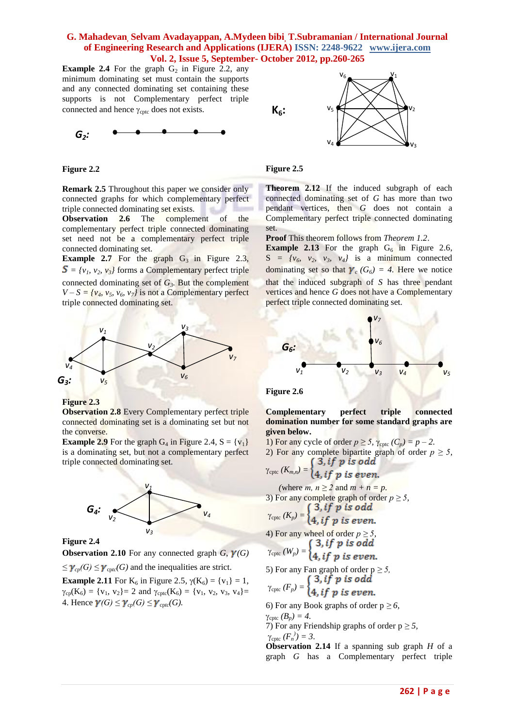**Example 2.4** For the graph  $G_2$  in Figure 2.2, any minimum dominating set must contain the supports and any connected dominating set containing these supports is not Complementary perfect triple connected and hence  $\gamma_{\text{cntc}}$  does not exists.



#### **Figure 2.2**

**Remark 2.5** Throughout this paper we consider only connected graphs for which complementary perfect triple connected dominating set exists.

**Observation 2.6** The complement of the complementary perfect triple connected dominating set need not be a complementary perfect triple connected dominating set.

**Example 2.7** For the graph  $G_3$  in Figure 2.3,  $S = \{v_1, v_2, v_3\}$  forms a Complementary perfect triple connected dominating set of  $G_3$ . But the complement  $V - S = \{v_4, v_5, v_6, v_7\}$  is not a Complementary perfect triple connected dominating set.



**Figure 2.3**

**Observation 2.8** Every Complementary perfect triple connected dominating set is a dominating set but not the converse.

**Example 2.9** For the graph  $G_4$  in Figure 2.4,  $S = \{v_1\}$ is a dominating set, but not a complementary perfect triple connected dominating set.





**Observation 2.10** For any connected graph  $G$ ,  $\gamma(G)$ 

### $\leq \gamma_{cp}(G) \leq \gamma_{\text{cptc}}(G)$  and the inequalities are strict.

**Example 2.11** For  $K_6$  in Figure 2.5,  $\gamma(K_6) = \{v_1\} = 1$ ,  $\gamma_{cp}(K_6) = \{v_1, v_2\} = 2$  and  $\gamma_{cptc}(K_6) = \{v_1, v_2, v_3, v_4\} =$ 4. Hence  $\gamma(G) \leq \gamma_{cn}(G) \leq \gamma_{cn}(G)$ .



### **Figure 2.5**

**Theorem 2.12** If the induced subgraph of each connected dominating set of *G* has more than two pendant vertices, then *G* does not contain a Complementary perfect triple connected dominating set.

**Proof** This theorem follows from *Theorem 1.2*.

**Example 2.13** For the graph  $G_6$  in Figure 2.6,  $S = \{v_6, v_2, v_3, v_4\}$  is a minimum connected dominating set so that  $\gamma_c$  ( $G_6$ ) = 4. Here we notice that the induced subgraph of *S* has three pendant vertices and hence *G* does not have a Complementary perfect triple connected dominating set*.*



# **Figure 2.6**

**Complementary perfect triple connected domination number for some standard graphs are given below.**

1) For any cycle of order  $p \ge 5$ ,  $\gamma_{\text{cptc}}(C_p) = p - 2$ .

2) For any complete bipartite graph of order 
$$
p \geq 5
$$
,  $\int 3$ , if  $p$  is odd

$$
\gamma_{\text{cptc}}(K_{m,n})=\begin{cases}4, if p is even.\end{cases}
$$

(where *m*,  $n \ge 2$  and  $m + n = p$ . 3) For any complete graph of order  $p \ge 5$ ,  $(3, if p is odd)$ 

$$
\gamma_{\text{cptc}}(K_p) = \begin{cases} 4, & \text{if } p \text{ is even.} \end{cases}
$$

4) For any wheel of order 
$$
p \ge 5
$$
,  
\n
$$
\gamma_{\text{cptc}}(W_p) = \begin{cases} 3, if \ p \ is \ odd \\ 4, if \ n \ is \ even. \end{cases}
$$

5) For any Fan graph of order 
$$
p \ge 5
$$
,  

$$
\gamma_{\text{cptc}}(F_p) = \begin{cases} 3, if \ p \ is \ odd \\ A, if \ n \ is \ even \end{cases}
$$

$$
(4, if p is even.
$$

6) For any Book graphs of order  $p \ge 6$ ,  $\gamma_{\text{cptc}} (B_p) = 4.$ 

7) For any Friendship graphs of order  $p \ge 5$ ,  $\gamma_{\text{cptc}} (F_n^{\prime}) = 3.$ 

**Observation 2.14** If a spanning sub graph *H* of a graph *G* has a Complementary perfect triple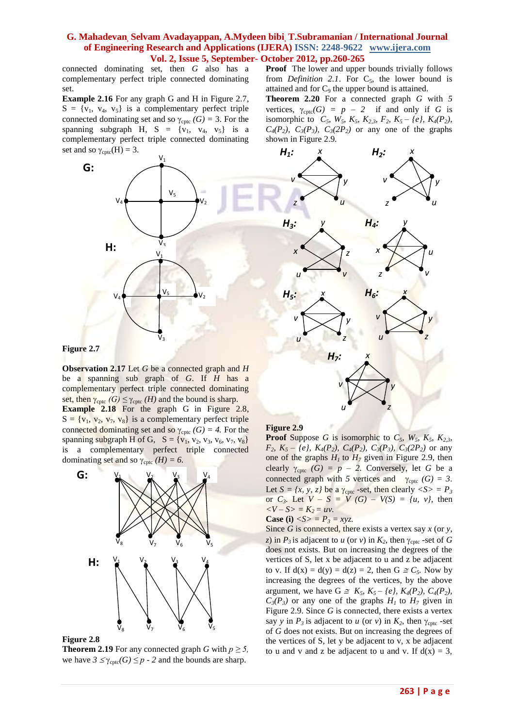connected dominating set, then *G* also has a complementary perfect triple connected dominating set.

**Example 2.16** For any graph G and H in Figure 2.7,  $S = \{v_1, v_4, v_5\}$  is a complementary perfect triple connected dominating set and so  $\gamma_{\text{cptc}}$  *(G) = 3.* For the spanning subgraph H,  $S = \{v_1, v_4, v_5\}$  is a complementary perfect triple connected dominating set and so  $\gamma_{\text{cptc}}(H) = 3$ .



**Figure 2.7**

**Observation 2.17** Let *G* be a connected graph and *H* be a spanning sub graph of *G*. If *H* has a complementary perfect triple connected dominating set, then  $\gamma_{\text{cptc}}$  *(G)*  $\leq \gamma_{\text{cptc}}$  *(H)* and the bound is sharp.

**Example 2.18** For the graph G in Figure 2.8,  $S = \{v_1, v_2, v_7, v_8\}$  is a complementary perfect triple connected dominating set and so  $\gamma_{\text{cptc}}(G) = 4$ . For the spanning subgraph H of G,  $S = \{v_1, v_2, v_3, v_6, v_7, v_8\}$ is a complementary perfect triple connected dominating set and so  $\gamma_{\text{cptc}}(H) = 6$ .



#### **Figure 2.8**

**Theorem 2.19** For any connected graph *G* with  $p \ge 5$ , we have  $3 \leq \gamma_{\text{cptc}}(G) \leq p - 2$  and the bounds are sharp.

**Proof** The lower and upper bounds trivially follows from *Definition 2.1*. For  $C_5$ , the lower bound is attained and for  $C_9$  the upper bound is attained.

**Theorem 2.20** For a connected graph *G* with *5* vertices,  $\gamma_{\text{cptc}}(G) = p - 2$  if and only if *G* is isomorphic to  $C_5$ ,  $W_5$ ,  $K_5$ ,  $K_{2,3}$ ,  $F_2$ ,  $K_5 - \{e\}$ ,  $K_4(P_2)$ ,  $C_4(P_2)$ ,  $C_3(P_3)$ ,  $C_3(2P_2)$  or any one of the graphs shown in Figure 2.9*.*



### **Figure 2.9**

**Proof** Suppose *G* is isomorphic to  $C_5$ ,  $W_5$ ,  $K_5$ ,  $K_{2,3}$ , *F*<sub>2</sub>*, K*<sub>5</sub> *– {e}, K<sub>4</sub>*(*P*<sub>2</sub>*), C<sub>4</sub>*(*P*<sub>2</sub>*), C<sub>3</sub>*(*P*<sub>3</sub>*), C<sub>3</sub>*(2*P*<sub>2</sub>*)* or any one of the graphs  $H_1$  to  $H_7$  given in Figure 2.9, then clearly  $\gamma_{\text{cptc}}$  *(G) = p – 2.* Conversely, let *G* be a connected graph with 5 vertices and  $\gamma_{\text{cptc}}$  *(G) = 3*. Let  $S = \{x, y, z\}$  be a  $\gamma_{\text{cptc}}$  *-set*, then clearly  $\langle S \rangle = P_3$ or  $C_3$ . Let  $V - S = V(G) - V(S) = \{u, v\}$ , then  $\langle V - S \rangle = K_2 = uv.$ 

Case (i) 
$$
\langle S \rangle = P_3 = xyz
$$
.

Since *G* is connected*,* there exists a vertex say *x* (or *y, z*) in  $P_3$  is adjacent to *u* (or *v*) in  $K_2$ , then  $\gamma_{\text{cptc}}$  -set of *G* does not exists. But on increasing the degrees of the vertices of S, let x be adjacent to u and z be adjacent to v. If  $d(x) = d(y) = d(z) = 2$ , then  $G \cong C_5$ . Now by increasing the degrees of the vertices, by the above argument, we have  $G \cong K_5, K_5 - \{e\}, K_4(P_2), C_4(P_2)$ ,  $C_3(P_3)$  or any one of the graphs  $H_1$  to  $H_7$  given in Figure 2.9. Since *G* is connected*,* there exists a vertex say *y* in  $P_3$  is adjacent to *u* (or *v*) in  $K_2$ , then  $\gamma_{\text{c}ptc}$  -set of *G* does not exists. But on increasing the degrees of the vertices of S, let y be adjacent to v, x be adjacent to u and v and z be adjacent to u and v. If  $d(x) = 3$ ,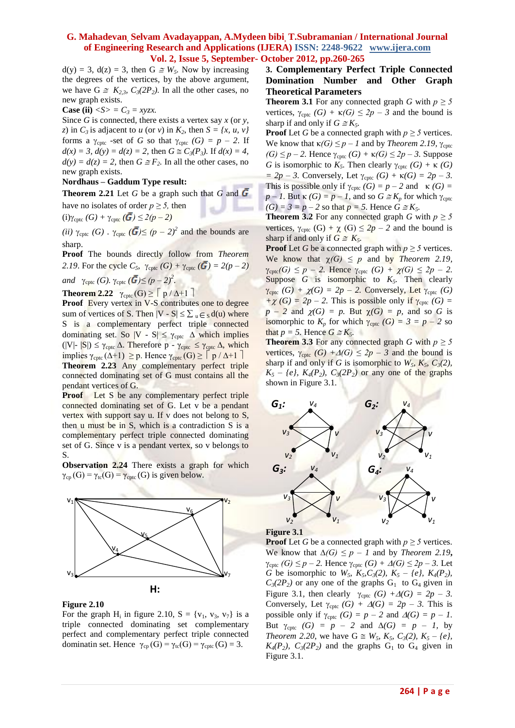$d(y) = 3$ ,  $d(z) = 3$ , then  $G \cong W_5$ . Now by increasing the degrees of the vertices, by the above argument, we have  $G \cong K_{2,3}$ ,  $C_3(2P_2)$ . In all the other cases, no new graph exists.

**Case (ii)**  $\langle S \rangle = C_3 = xyzx$ .

Since *G* is connected*,* there exists a vertex say *x* (or *y, z*) in  $C_3$  is adjacent to *u* (or *v*) in  $K_2$ , then  $S = \{x, u, v\}$ forms a  $\gamma_{\text{cptc}}$  *-set* of *G* so that  $\gamma_{\text{cptc}}$  *(G) = p – 2*. If  $d(x) = 3$ ,  $d(y) = d(z) = 2$ , then  $G \cong C_3(P_3)$ . If  $d(x) = 4$ ,  $d(y) = d(z) = 2$ , then  $G \cong F_2$ . In all the other cases, no new graph exists.

#### **Nordhaus – Gaddum Type result:**

**Theorem 2.21** Let *G* be a graph such that *G* and  $\overline{G}$ have no isolates of order  $p \geq 5$ , then

 $(i)\gamma_{\text{cptc}}(G) + \gamma_{\text{cptc}}(\bar{G}) \leq 2(p-2)$ 

*(ii)*  $\gamma_{\text{cptc}}$  *(G)*  $\gamma_{\text{cptc}}$  *(* $\overline{G}$ *)*  $\leq$  *(p – 2)*<sup>2</sup> and the bounds are sharp.

**Proof** The bounds directly follow from *Theorem 2.19*. For the cycle  $C_5$ ,  $\gamma_{\text{cptc}}(G) + \gamma_{\text{cptc}}(G) = 2(p-2)$ 

*and*  $\gamma_{\text{cptc}} (G)$ .  $\gamma_{\text{cptc}} (\bar{G}) \le (p-2)^2$ .

**Theorem 2.22**  $\gamma_{\text{cptc}}(G) \ge \lceil p / \Delta + 1 \rceil$ 

**Proof Every vertex in V-S contributes one to degree** sum of vertices of S. Then  $|V - S| \le \sum_{u \in S} d(u)$  where S is a complementary perfect triple connected dominating set. So |V - S|  $\leq \gamma_{\text{cptc}}$   $\Delta$  which implies (|V|-  $|S|$ )  $\leq \gamma_{\text{cptc}} \Delta$ . Therefore p -  $\gamma_{\text{cptc}} \leq \gamma_{\text{cptc}} \Delta$ , which implies  $\gamma_{\text{cptc}}(\Delta+1) \geq p$ . Hence  $\gamma_{\text{cptc}}(G) \geq |p / \Delta+1|$ **Theorem 2.23** Any complementary perfect triple connected dominating set of G must contains all the

pendant vertices of G.

**Proof** Let S be any complementary perfect triple connected dominating set of G. Let v be a pendant vertex with support say u. If v does not belong to S, then u must be in S, which is a contradiction S is a complementary perfect triple connected dominating set of G. Since v is a pendant vertex, so v belongs to S.

**Observation 2.24** There exists a graph for which  $\gamma_{cp}(G) = \gamma_{tc}(G) = \gamma_{cptc}(G)$  is given below.



#### **Figure 2.10**

For the graph  $H_i$  in figure 2.10,  $S = \{v_1, v_3, v_7\}$  is a triple connected dominating set complementary perfect and complementary perfect triple connected dominatin set. Hence  $\gamma_{cp}(G) = \gamma_{tc}(G) = \gamma_{cptc}(G) = 3$ .

# **3. Complementary Perfect Triple Connected Domination Number and Other Graph Theoretical Parameters**

**Theorem 3.1** For any connected graph *G* with  $p \ge 5$ vertices,  $\gamma_{\text{cptc}}$  *(G)* +  $\kappa$ *(G)*  $\leq$  2*p* – *3* and the bound is sharp if and only if  $G \cong K_5$ .

**Proof** Let *G* be a connected graph with  $p \ge 5$  vertices. We know that  $κ(G) \leq p - 1$  and by *Theorem 2.19,* γ<sub>cptc</sub>  $(G) \leq p - 2$ . Hence  $\gamma_{\text{cptc}}(G) + \kappa(G) \leq 2p - 3$ . Suppose *G* is isomorphic to  $K_5$ . Then clearly  $\gamma_{\text{cptc}}(G) + \kappa(G)$  $= 2p - 3$ . Conversely, Let  $\gamma_{\text{cptc}} (G) + \kappa(G) = 2p - 3$ . This is possible only if  $\gamma_{\text{cptc}}(G) = p - 2$  and  $\kappa(G) =$  $p - 1$ . But  $\kappa(G) = p - 1$ , and so  $G \cong K_p$  for which  $\gamma_{\text{cptc}}$  $(G) = 3 = p - 2$  so that  $p = 5$ . Hence  $G \cong K_5$ .

**Theorem 3.2** For any connected graph *G* with  $p \ge 5$ vertices,  $\gamma_{\text{cptc}}$  (G) +  $\chi$  (G)  $\leq$  2*p* – 2 and the bound is sharp if and only if  $G \cong K_5$ .

**Proof** Let *G* be a connected graph with  $p \ge 5$  vertices. We know that  $\chi(G) \leq p$  and by *Theorem 2.19*,  $\gamma_{\text{cptc}}(G) \leq p - 2$ . Hence  $\gamma_{\text{cptc}}(G) + \chi(G) \leq 2p - 2$ . Suppose  $G$  is isomorphic to  $K_5$ . Then clearly  $\gamma_{\text{cptc}}$  *(G)* +  $\chi$ *(G)* = 2*p* – 2. Conversely, Let  $\gamma_{\text{cptc}}$  *(G)*  $+\chi$  *(G)* = 2*p* – 2. This is possible only if  $\gamma_{\text{cptc}}$  *(G)* =  $p - 2$  and  $\chi(G) = p$ . But  $\chi(G) = p$ , and so *G* is isomorphic to  $K_p$  for which  $\gamma_{\text{cptc}}(G) = 3 = p - 2$  so that  $p = 5$ . Hence  $G \cong K_5$ .

**Theorem 3.3** For any connected graph *G* with  $p \ge 5$ vertices,  $\gamma_{\text{cptc}}$  *(G)* + $\Delta$ *(G)*  $\leq$  2*p* – 3 and the bound is sharp if and only if *G* is isomorphic to  $W_5$ ,  $K_5$ ,  $C_3(2)$ ,  $K_5$  – *{e},*  $K_4$  ( $P_2$ ),  $C_3$  ( $2P_2$ ) or any one of the graphs shown in Figure 3.1*.*





**Proof** Let *G* be a connected graph with  $p \ge 5$  vertices. We know that  $\Delta(G) \leq p - 1$  and by *Theorem 2.19*,  $\gamma_{\text{cptc}}$  *(G)*  $\leq p-2$ . Hence  $\gamma_{\text{cptc}}$  *(G)* +  $\Delta$ *(G)*  $\leq$  2*p* – 3. Let *G* be isomorphic to  $W_5$ ,  $K_5$ ,  $C_3$ (2),  $K_5$  – {e},  $K_4$ ( $P_2$ ),  $C_3(2P_2)$  or any one of the graphs  $G_1$  to  $G_4$  given in Figure 3.1, then clearly  $\gamma_{\text{cptc}}$  *(G)* + $\Delta$ *(G)* = 2*p* – 3. Conversely, Let  $\gamma_{\text{cptc}}(G) + \Delta(G) = 2p - 3$ . This is possible only if  $\gamma_{\text{cptc}}$  *(G) = p – 2* and  $\Delta(G) = p - 1$ . But  $\gamma_{\text{cptc}}$  *(G) = p – 2 and*  $\Delta(G)$  *= p – 1, by Theorem* 2.20, we have  $G \cong W_5$ ,  $K_5$ ,  $C_3(2)$ ,  $K_5 - \{e\}$ ,  $K_4(P_2)$ ,  $C_3(2P_2)$  and the graphs  $G_1$  to  $G_4$  given in Figure 3.1.